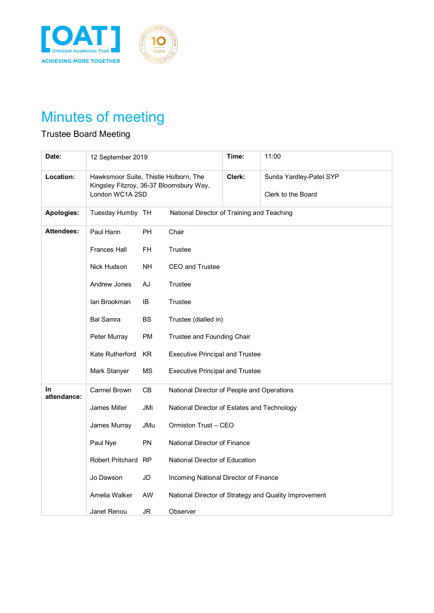



## Minutes of meeting

## Trustee Board Meeting

| Date:             | 12 September 2019                                                                |           |                                             | Time:                    | 11:00                                                 |
|-------------------|----------------------------------------------------------------------------------|-----------|---------------------------------------------|--------------------------|-------------------------------------------------------|
| Location:         | Hawksmoor Suite, Thistle Holborn, The<br>Kingsley Fitzroy, 36-37 Bloomsbury Way, |           | Clerk:                                      | Sunita Yardley-Patel SYP |                                                       |
|                   | London WC1A 2SD                                                                  |           |                                             |                          | Clerk to the Board                                    |
| Apologies:        | Tuesday Humby TH                                                                 |           | National Director of Training and Teaching  |                          |                                                       |
| <b>Attendees:</b> | Paul Hann                                                                        | <b>PH</b> | Chair                                       |                          |                                                       |
|                   | <b>Frances Hall</b>                                                              | <b>FH</b> | Trustee                                     |                          |                                                       |
|                   | Nick Hudson                                                                      | <b>NH</b> | <b>CEO</b> and Trustee                      |                          |                                                       |
|                   | Andrew Jones                                                                     | AJ        | Trustee                                     |                          |                                                       |
|                   | lan Brookman                                                                     | IB        | Trustee                                     |                          |                                                       |
|                   | <b>Bal Samra</b>                                                                 | <b>BS</b> | Trustee (dialled in)                        |                          |                                                       |
|                   | Peter Murray                                                                     | PM        | Trustee and Founding Chair                  |                          |                                                       |
|                   | Kate Rutherford                                                                  | KR        | <b>Executive Principal and Trustee</b>      |                          |                                                       |
|                   | Mark Stanyer                                                                     | МS        | <b>Executive Principal and Trustee</b>      |                          |                                                       |
| In<br>attendance: | <b>Carmel Brown</b>                                                              | CB        | National Director of People and Operations  |                          |                                                       |
|                   | James Miller                                                                     | JMi       | National Director of Estates and Technology |                          |                                                       |
|                   | James Murray                                                                     | JMu       | Ormiston Trust - CEO                        |                          |                                                       |
|                   | Paul Nye                                                                         | <b>PN</b> | National Director of Finance                |                          |                                                       |
|                   | Robert Pritchard RP                                                              |           | National Director of Education              |                          |                                                       |
|                   | Jo Dawson                                                                        | JD        | Incoming National Director of Finance       |                          |                                                       |
|                   | Amelia Walker                                                                    | AW        |                                             |                          | National Director of Strategy and Quality Improvement |
|                   | Janet Renou                                                                      | JR        | Observer                                    |                          |                                                       |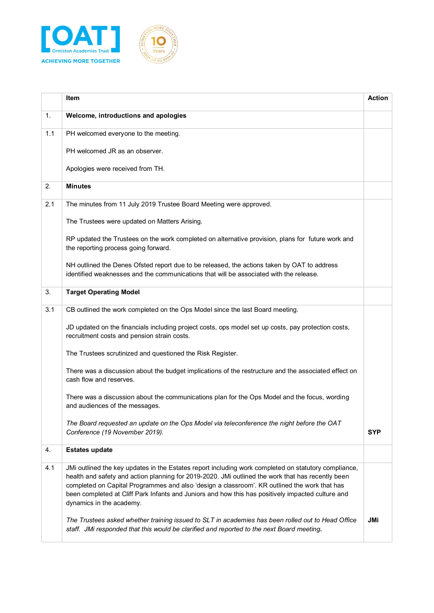



|     | Item                                                                                                                                                                                                                                                                                                                                                                                                                                       | <b>Action</b> |
|-----|--------------------------------------------------------------------------------------------------------------------------------------------------------------------------------------------------------------------------------------------------------------------------------------------------------------------------------------------------------------------------------------------------------------------------------------------|---------------|
| 1.  | Welcome, introductions and apologies                                                                                                                                                                                                                                                                                                                                                                                                       |               |
| 1.1 | PH welcomed everyone to the meeting.                                                                                                                                                                                                                                                                                                                                                                                                       |               |
|     | PH welcomed JR as an observer.                                                                                                                                                                                                                                                                                                                                                                                                             |               |
|     | Apologies were received from TH.                                                                                                                                                                                                                                                                                                                                                                                                           |               |
| 2.  | <b>Minutes</b>                                                                                                                                                                                                                                                                                                                                                                                                                             |               |
| 2.1 | The minutes from 11 July 2019 Trustee Board Meeting were approved.                                                                                                                                                                                                                                                                                                                                                                         |               |
|     | The Trustees were updated on Matters Arising.                                                                                                                                                                                                                                                                                                                                                                                              |               |
|     | RP updated the Trustees on the work completed on alternative provision, plans for future work and<br>the reporting process going forward.                                                                                                                                                                                                                                                                                                  |               |
|     | NH outlined the Denes Ofsted report due to be released, the actions taken by OAT to address<br>identified weaknesses and the communications that will be associated with the release.                                                                                                                                                                                                                                                      |               |
| 3.  | <b>Target Operating Model</b>                                                                                                                                                                                                                                                                                                                                                                                                              |               |
| 3.1 | CB outlined the work completed on the Ops Model since the last Board meeting.                                                                                                                                                                                                                                                                                                                                                              |               |
|     | JD updated on the financials including project costs, ops model set up costs, pay protection costs,<br>recruitment costs and pension strain costs.                                                                                                                                                                                                                                                                                         |               |
|     | The Trustees scrutinized and questioned the Risk Register.                                                                                                                                                                                                                                                                                                                                                                                 |               |
|     | There was a discussion about the budget implications of the restructure and the associated effect on<br>cash flow and reserves.                                                                                                                                                                                                                                                                                                            |               |
|     | There was a discussion about the communications plan for the Ops Model and the focus, wording<br>and audiences of the messages.                                                                                                                                                                                                                                                                                                            |               |
|     | The Board requested an update on the Ops Model via teleconference the night before the OAT<br>Conference (19 November 2019).                                                                                                                                                                                                                                                                                                               | <b>SYP</b>    |
| 4.  | <b>Estates update</b>                                                                                                                                                                                                                                                                                                                                                                                                                      |               |
| 4.1 | JMi outlined the key updates in the Estates report including work completed on statutory compliance,<br>health and safety and action planning for 2019-2020. JMi outlined the work that has recently been<br>completed on Capital Programmes and also 'design a classroom'. KR outlined the work that has<br>been completed at Cliff Park Infants and Juniors and how this has positively impacted culture and<br>dynamics in the academy. |               |
|     | The Trustees asked whether training issued to SLT in academies has been rolled out to Head Office<br>staff. JMi responded that this would be clarified and reported to the next Board meeting.                                                                                                                                                                                                                                             | <b>JMi</b>    |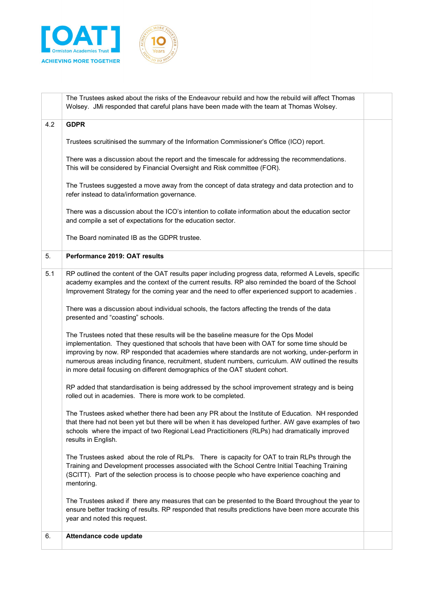



| <b>GDPR</b><br>4.2<br>Trustees scruitinised the summary of the Information Commissioner's Office (ICO) report.<br>There was a discussion about the report and the timescale for addressing the recommendations.<br>This will be considered by Financial Oversight and Risk committee (FOR).<br>The Trustees suggested a move away from the concept of data strategy and data protection and to<br>refer instead to data/information governance.<br>There was a discussion about the ICO's intention to collate information about the education sector<br>and compile a set of expectations for the education sector.<br>The Board nominated IB as the GDPR trustee.<br>5.<br>Performance 2019: OAT results<br>5.1<br>RP outlined the content of the OAT results paper including progress data, reformed A Levels, specific<br>academy examples and the context of the current results. RP also reminded the board of the School<br>Improvement Strategy for the coming year and the need to offer experienced support to academies.<br>There was a discussion about individual schools, the factors affecting the trends of the data<br>presented and "coasting" schools.<br>The Trustees noted that these results will be the baseline measure for the Ops Model<br>implementation. They questioned that schools that have been with OAT for some time should be<br>improving by now. RP responded that academies where standards are not working, under-perform in<br>numerous areas including finance, recruitment, student numbers, curriculum. AW outlined the results<br>in more detail focusing on different demographics of the OAT student cohort.<br>RP added that standardisation is being addressed by the school improvement strategy and is being<br>rolled out in academies. There is more work to be completed.<br>The Trustees asked whether there had been any PR about the Institute of Education. NH responded<br>that there had not been yet but there will be when it has developed further. AW gave examples of two<br>schools where the impact of two Regional Lead Practicitioners (RLPs) had dramatically improved<br>results in English.<br>The Trustees asked about the role of RLPs. There is capacity for OAT to train RLPs through the<br>Training and Development processes associated with the School Centre Initial Teaching Training<br>(SCITT). Part of the selection process is to choose people who have experience coaching and<br>mentoring.<br>The Trustees asked if there any measures that can be presented to the Board throughout the year to<br>ensure better tracking of results. RP responded that results predictions have been more accurate this<br>year and noted this request.<br>6.<br>Attendance code update | The Trustees asked about the risks of the Endeavour rebuild and how the rebuild will affect Thomas<br>Wolsey. JMi responded that careful plans have been made with the team at Thomas Wolsey. |  |
|---------------------------------------------------------------------------------------------------------------------------------------------------------------------------------------------------------------------------------------------------------------------------------------------------------------------------------------------------------------------------------------------------------------------------------------------------------------------------------------------------------------------------------------------------------------------------------------------------------------------------------------------------------------------------------------------------------------------------------------------------------------------------------------------------------------------------------------------------------------------------------------------------------------------------------------------------------------------------------------------------------------------------------------------------------------------------------------------------------------------------------------------------------------------------------------------------------------------------------------------------------------------------------------------------------------------------------------------------------------------------------------------------------------------------------------------------------------------------------------------------------------------------------------------------------------------------------------------------------------------------------------------------------------------------------------------------------------------------------------------------------------------------------------------------------------------------------------------------------------------------------------------------------------------------------------------------------------------------------------------------------------------------------------------------------------------------------------------------------------------------------------------------------------------------------------------------------------------------------------------------------------------------------------------------------------------------------------------------------------------------------------------------------------------------------------------------------------------------------------------------------------------------------------------------------------------------------------------------------------------------------------------------------------------------------------------------------------------------------------------------------------------|-----------------------------------------------------------------------------------------------------------------------------------------------------------------------------------------------|--|
|                                                                                                                                                                                                                                                                                                                                                                                                                                                                                                                                                                                                                                                                                                                                                                                                                                                                                                                                                                                                                                                                                                                                                                                                                                                                                                                                                                                                                                                                                                                                                                                                                                                                                                                                                                                                                                                                                                                                                                                                                                                                                                                                                                                                                                                                                                                                                                                                                                                                                                                                                                                                                                                                                                                                                                     |                                                                                                                                                                                               |  |
|                                                                                                                                                                                                                                                                                                                                                                                                                                                                                                                                                                                                                                                                                                                                                                                                                                                                                                                                                                                                                                                                                                                                                                                                                                                                                                                                                                                                                                                                                                                                                                                                                                                                                                                                                                                                                                                                                                                                                                                                                                                                                                                                                                                                                                                                                                                                                                                                                                                                                                                                                                                                                                                                                                                                                                     |                                                                                                                                                                                               |  |
|                                                                                                                                                                                                                                                                                                                                                                                                                                                                                                                                                                                                                                                                                                                                                                                                                                                                                                                                                                                                                                                                                                                                                                                                                                                                                                                                                                                                                                                                                                                                                                                                                                                                                                                                                                                                                                                                                                                                                                                                                                                                                                                                                                                                                                                                                                                                                                                                                                                                                                                                                                                                                                                                                                                                                                     |                                                                                                                                                                                               |  |
|                                                                                                                                                                                                                                                                                                                                                                                                                                                                                                                                                                                                                                                                                                                                                                                                                                                                                                                                                                                                                                                                                                                                                                                                                                                                                                                                                                                                                                                                                                                                                                                                                                                                                                                                                                                                                                                                                                                                                                                                                                                                                                                                                                                                                                                                                                                                                                                                                                                                                                                                                                                                                                                                                                                                                                     |                                                                                                                                                                                               |  |
|                                                                                                                                                                                                                                                                                                                                                                                                                                                                                                                                                                                                                                                                                                                                                                                                                                                                                                                                                                                                                                                                                                                                                                                                                                                                                                                                                                                                                                                                                                                                                                                                                                                                                                                                                                                                                                                                                                                                                                                                                                                                                                                                                                                                                                                                                                                                                                                                                                                                                                                                                                                                                                                                                                                                                                     |                                                                                                                                                                                               |  |
|                                                                                                                                                                                                                                                                                                                                                                                                                                                                                                                                                                                                                                                                                                                                                                                                                                                                                                                                                                                                                                                                                                                                                                                                                                                                                                                                                                                                                                                                                                                                                                                                                                                                                                                                                                                                                                                                                                                                                                                                                                                                                                                                                                                                                                                                                                                                                                                                                                                                                                                                                                                                                                                                                                                                                                     |                                                                                                                                                                                               |  |
|                                                                                                                                                                                                                                                                                                                                                                                                                                                                                                                                                                                                                                                                                                                                                                                                                                                                                                                                                                                                                                                                                                                                                                                                                                                                                                                                                                                                                                                                                                                                                                                                                                                                                                                                                                                                                                                                                                                                                                                                                                                                                                                                                                                                                                                                                                                                                                                                                                                                                                                                                                                                                                                                                                                                                                     |                                                                                                                                                                                               |  |
|                                                                                                                                                                                                                                                                                                                                                                                                                                                                                                                                                                                                                                                                                                                                                                                                                                                                                                                                                                                                                                                                                                                                                                                                                                                                                                                                                                                                                                                                                                                                                                                                                                                                                                                                                                                                                                                                                                                                                                                                                                                                                                                                                                                                                                                                                                                                                                                                                                                                                                                                                                                                                                                                                                                                                                     |                                                                                                                                                                                               |  |
|                                                                                                                                                                                                                                                                                                                                                                                                                                                                                                                                                                                                                                                                                                                                                                                                                                                                                                                                                                                                                                                                                                                                                                                                                                                                                                                                                                                                                                                                                                                                                                                                                                                                                                                                                                                                                                                                                                                                                                                                                                                                                                                                                                                                                                                                                                                                                                                                                                                                                                                                                                                                                                                                                                                                                                     |                                                                                                                                                                                               |  |
|                                                                                                                                                                                                                                                                                                                                                                                                                                                                                                                                                                                                                                                                                                                                                                                                                                                                                                                                                                                                                                                                                                                                                                                                                                                                                                                                                                                                                                                                                                                                                                                                                                                                                                                                                                                                                                                                                                                                                                                                                                                                                                                                                                                                                                                                                                                                                                                                                                                                                                                                                                                                                                                                                                                                                                     |                                                                                                                                                                                               |  |
|                                                                                                                                                                                                                                                                                                                                                                                                                                                                                                                                                                                                                                                                                                                                                                                                                                                                                                                                                                                                                                                                                                                                                                                                                                                                                                                                                                                                                                                                                                                                                                                                                                                                                                                                                                                                                                                                                                                                                                                                                                                                                                                                                                                                                                                                                                                                                                                                                                                                                                                                                                                                                                                                                                                                                                     |                                                                                                                                                                                               |  |
|                                                                                                                                                                                                                                                                                                                                                                                                                                                                                                                                                                                                                                                                                                                                                                                                                                                                                                                                                                                                                                                                                                                                                                                                                                                                                                                                                                                                                                                                                                                                                                                                                                                                                                                                                                                                                                                                                                                                                                                                                                                                                                                                                                                                                                                                                                                                                                                                                                                                                                                                                                                                                                                                                                                                                                     |                                                                                                                                                                                               |  |
|                                                                                                                                                                                                                                                                                                                                                                                                                                                                                                                                                                                                                                                                                                                                                                                                                                                                                                                                                                                                                                                                                                                                                                                                                                                                                                                                                                                                                                                                                                                                                                                                                                                                                                                                                                                                                                                                                                                                                                                                                                                                                                                                                                                                                                                                                                                                                                                                                                                                                                                                                                                                                                                                                                                                                                     |                                                                                                                                                                                               |  |
|                                                                                                                                                                                                                                                                                                                                                                                                                                                                                                                                                                                                                                                                                                                                                                                                                                                                                                                                                                                                                                                                                                                                                                                                                                                                                                                                                                                                                                                                                                                                                                                                                                                                                                                                                                                                                                                                                                                                                                                                                                                                                                                                                                                                                                                                                                                                                                                                                                                                                                                                                                                                                                                                                                                                                                     |                                                                                                                                                                                               |  |
|                                                                                                                                                                                                                                                                                                                                                                                                                                                                                                                                                                                                                                                                                                                                                                                                                                                                                                                                                                                                                                                                                                                                                                                                                                                                                                                                                                                                                                                                                                                                                                                                                                                                                                                                                                                                                                                                                                                                                                                                                                                                                                                                                                                                                                                                                                                                                                                                                                                                                                                                                                                                                                                                                                                                                                     |                                                                                                                                                                                               |  |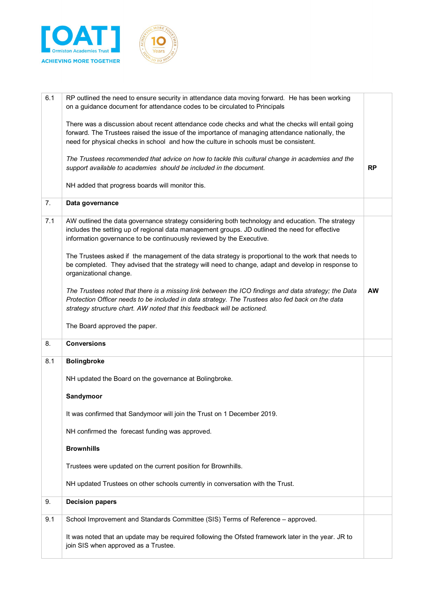



| 6.1 | RP outlined the need to ensure security in attendance data moving forward. He has been working<br>on a guidance document for attendance codes to be circulated to Principals                                                                                                                 |           |
|-----|----------------------------------------------------------------------------------------------------------------------------------------------------------------------------------------------------------------------------------------------------------------------------------------------|-----------|
|     | There was a discussion about recent attendance code checks and what the checks will entail going<br>forward. The Trustees raised the issue of the importance of managing attendance nationally, the<br>need for physical checks in school and how the culture in schools must be consistent. |           |
|     | The Trustees recommended that advice on how to tackle this cultural change in academies and the<br>support available to academies should be included in the document.                                                                                                                        | <b>RP</b> |
|     | NH added that progress boards will monitor this.                                                                                                                                                                                                                                             |           |
| 7.  | Data governance                                                                                                                                                                                                                                                                              |           |
| 7.1 | AW outlined the data governance strategy considering both technology and education. The strategy<br>includes the setting up of regional data management groups. JD outlined the need for effective<br>information governance to be continuously reviewed by the Executive.                   |           |
|     | The Trustees asked if the management of the data strategy is proportional to the work that needs to<br>be completed. They advised that the strategy will need to change, adapt and develop in response to<br>organizational change.                                                          |           |
|     | The Trustees noted that there is a missing link between the ICO findings and data strategy; the Data<br>Protection Officer needs to be included in data strategy. The Trustees also fed back on the data<br>strategy structure chart. AW noted that this feedback will be actioned.          | <b>AW</b> |
|     | The Board approved the paper.                                                                                                                                                                                                                                                                |           |
| 8.  | <b>Conversions</b>                                                                                                                                                                                                                                                                           |           |
| 8.1 | <b>Bolingbroke</b>                                                                                                                                                                                                                                                                           |           |
|     | NH updated the Board on the governance at Bolingbroke.                                                                                                                                                                                                                                       |           |
|     | Sandymoor                                                                                                                                                                                                                                                                                    |           |
|     | It was confirmed that Sandymoor will join the Trust on 1 December 2019.                                                                                                                                                                                                                      |           |
|     | NH confirmed the forecast funding was approved.                                                                                                                                                                                                                                              |           |
|     | <b>Brownhills</b>                                                                                                                                                                                                                                                                            |           |
|     | Trustees were updated on the current position for Brownhills.                                                                                                                                                                                                                                |           |
|     | NH updated Trustees on other schools currently in conversation with the Trust.                                                                                                                                                                                                               |           |
| 9.  | <b>Decision papers</b>                                                                                                                                                                                                                                                                       |           |
| 9.1 | School Improvement and Standards Committee (SIS) Terms of Reference - approved.                                                                                                                                                                                                              |           |
|     | It was noted that an update may be required following the Ofsted framework later in the year. JR to                                                                                                                                                                                          |           |